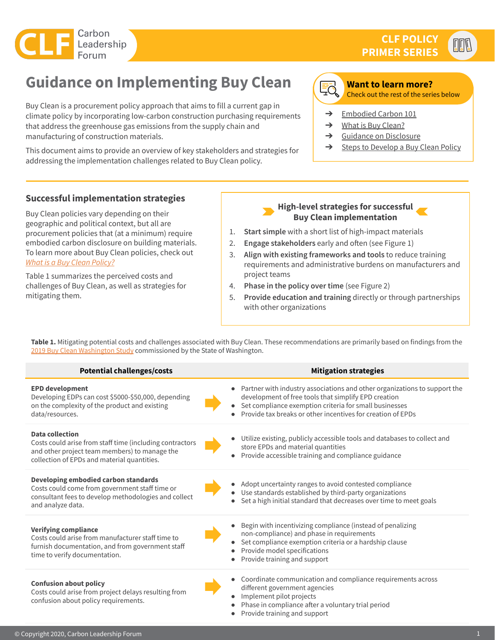

 $\mathbb{E}\mathbb{E}$ 

# **Guidance on Implementing Buy Clean**

Buy Clean is a procurement policy approach that aims to fill a current gap in climate policy by incorporating low-carbon construction purchasing requirements that address the greenhouse gas emissions from the supply chain and manufacturing of construction materials.

This document aims to provide an overview of key stakeholders and strategies for addressing the implementation challenges related to Buy Clean policy.



#### **Want to learn more?**

Check out the rest of the series below

- → [Embodied Carbon 101](https://carbonleadershipforum.org/clf-policy-primer-embodied-carbon-101/)
- $\rightarrow$  [What is Buy Clean?](https://carbonleadershipforum.org/what-is-a-buy-clean-policy/)
- ➔ [Guidance on Disclosure](https://carbonleadershipforum.org/guidance-on-embodied-carbon-transparency-disclosure/)
- **→** [Steps to Develop a Buy Clean Policy](https://carbonleadershipforum.org/steps-to-develop-a-buy-clean-policy/)

# **Successful implementation strategies**

Buy Clean policies vary depending on their geographic and political context, but all are procurement policies that (at a minimum) require embodied carbon disclosure on building materials. To learn more about Buy Clean policies, check out *[What is a Buy Clean Policy?](https://docs.google.com/presentation/d/1-dGWerbbVnCQp-_H9h7OPfp4K2K1I6kKIHtLgeJjxww/edit?usp=sharing)*

Table 1 summarizes the perceived costs and challenges of Buy Clean, as well as strategies for mitigating them.

#### **High-level strategies for successful Buy Clean implementation**

- 1. **Start simple** with a short list of high-impact materials
- 2. **Engage stakeholders** early and often (see Figure 1)
- 3. **Align with existing frameworks and tools** to reduce training requirements and administrative burdens on manufacturers and project teams
- 4. **Phase in the policy over time** (see Figure 2)
- 5. **Provide education and training** directly or through partnerships with other organizations

Table 1. Mitigating potential costs and challenges associated with Buy Clean. These recommendations are primarily based on findings from the [2019 Buy Clean Washington Study](https://carbonleadershipforum.org/buy-clean-washington-study/) commissioned by the State of Washington.

| <b>Potential challenges/costs</b>                                                                                                                                                  | <b>Mitigation strategies</b>                                                                                                                                                                                                                               |
|------------------------------------------------------------------------------------------------------------------------------------------------------------------------------------|------------------------------------------------------------------------------------------------------------------------------------------------------------------------------------------------------------------------------------------------------------|
| <b>EPD development</b><br>Developing EDPs can cost \$5000-\$50,000, depending<br>on the complexity of the product and existing<br>data/resources.                                  | Partner with industry associations and other organizations to support the<br>development of free tools that simplify EPD creation<br>Set compliance exemption criteria for small businesses<br>Provide tax breaks or other incentives for creation of EPDs |
| <b>Data collection</b><br>Costs could arise from staff time (including contractors<br>and other project team members) to manage the<br>collection of EPDs and material quantities. | Utilize existing, publicly accessible tools and databases to collect and<br>store EPDs and material quantities<br>Provide accessible training and compliance guidance                                                                                      |
| Developing embodied carbon standards<br>Costs could come from government staff time or<br>consultant fees to develop methodologies and collect<br>and analyze data.                | Adopt uncertainty ranges to avoid contested compliance<br>Use standards established by third-party organizations<br>Set a high initial standard that decreases over time to meet goals                                                                     |
| <b>Verifying compliance</b><br>Costs could arise from manufacturer staff time to<br>furnish documentation, and from government staff<br>time to verify documentation.              | Begin with incentivizing compliance (instead of penalizing<br>non-compliance) and phase in requirements<br>Set compliance exemption criteria or a hardship clause<br>Provide model specifications<br>Provide training and support                          |
| <b>Confusion about policy</b><br>Costs could arise from project delays resulting from<br>confusion about policy requirements.                                                      | Coordinate communication and compliance requirements across<br>different government agencies<br>Implement pilot projects<br>Phase in compliance after a voluntary trial period<br>Provide training and support                                             |